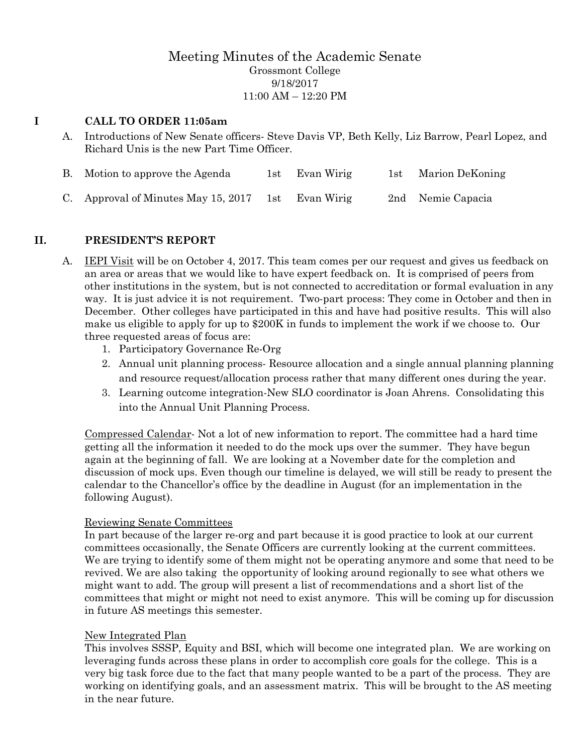## Meeting Minutes of the Academic Senate Grossmont College 9/18/2017 11:00 AM – 12:20 PM

#### **I CALL TO ORDER 11:05am**

A. Introductions of New Senate officers- Steve Davis VP, Beth Kelly, Liz Barrow, Pearl Lopez, and Richard Unis is the new Part Time Officer.

| B. Motion to approve the Agenda                    | 1st Evan Wirig | 1st - | Marion DeKoning   |
|----------------------------------------------------|----------------|-------|-------------------|
| C. Approval of Minutes May 15, 2017 1st Evan Wirig |                |       | 2nd Nemie Capacia |

## **II. PRESIDENT'S REPORT**

- A. IEPI Visit will be on October 4, 2017. This team comes per our request and gives us feedback on an area or areas that we would like to have expert feedback on. It is comprised of peers from other institutions in the system, but is not connected to accreditation or formal evaluation in any way. It is just advice it is not requirement. Two-part process: They come in October and then in December. Other colleges have participated in this and have had positive results. This will also make us eligible to apply for up to \$200K in funds to implement the work if we choose to. Our three requested areas of focus are:
	- 1. Participatory Governance Re-Org
	- 2. Annual unit planning process- Resource allocation and a single annual planning planning and resource request/allocation process rather that many different ones during the year.
	- 3. Learning outcome integration-New SLO coordinator is Joan Ahrens. Consolidating this into the Annual Unit Planning Process.

Compressed Calendar- Not a lot of new information to report. The committee had a hard time getting all the information it needed to do the mock ups over the summer. They have begun again at the beginning of fall. We are looking at a November date for the completion and discussion of mock ups. Even though our timeline is delayed, we will still be ready to present the calendar to the Chancellor's office by the deadline in August (for an implementation in the following August).

#### Reviewing Senate Committees

In part because of the larger re-org and part because it is good practice to look at our current committees occasionally, the Senate Officers are currently looking at the current committees. We are trying to identify some of them might not be operating anymore and some that need to be revived. We are also taking the opportunity of looking around regionally to see what others we might want to add. The group will present a list of recommendations and a short list of the committees that might or might not need to exist anymore. This will be coming up for discussion in future AS meetings this semester.

#### New Integrated Plan

This involves SSSP, Equity and BSI, which will become one integrated plan. We are working on leveraging funds across these plans in order to accomplish core goals for the college. This is a very big task force due to the fact that many people wanted to be a part of the process. They are working on identifying goals, and an assessment matrix. This will be brought to the AS meeting in the near future.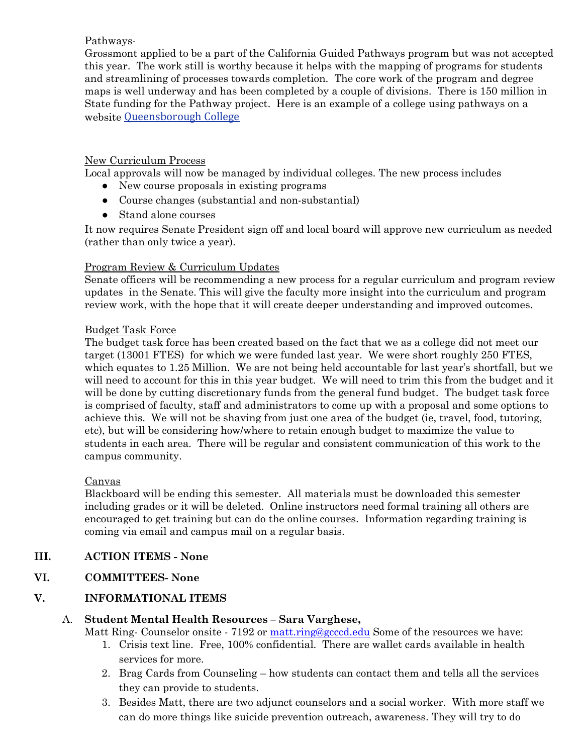## Pathways-

Grossmont applied to be a part of the California Guided Pathways program but was not accepted this year. The work still is worthy because it helps with the mapping of programs for students and streamlining of processes towards completion. The core work of the program and degree maps is well underway and has been completed by a couple of divisions. There is 150 million in State funding for the Pathway project. Here is an example of a college using pathways on a website [Queensborough College](http://www.qcc.cuny.edu/)

## New Curriculum Process

Local approvals will now be managed by individual colleges. The new process includes

- New course proposals in existing programs
- Course changes (substantial and non-substantial)
- Stand alone courses

It now requires Senate President sign off and local board will approve new curriculum as needed (rather than only twice a year).

## Program Review & Curriculum Updates

Senate officers will be recommending a new process for a regular curriculum and program review updates in the Senate. This will give the faculty more insight into the curriculum and program review work, with the hope that it will create deeper understanding and improved outcomes.

## Budget Task Force

The budget task force has been created based on the fact that we as a college did not meet our target (13001 FTES) for which we were funded last year. We were short roughly 250 FTES, which equates to 1.25 Million. We are not being held accountable for last year's shortfall, but we will need to account for this in this year budget. We will need to trim this from the budget and it will be done by cutting discretionary funds from the general fund budget. The budget task force is comprised of faculty, staff and administrators to come up with a proposal and some options to achieve this. We will not be shaving from just one area of the budget (ie, travel, food, tutoring, etc), but will be considering how/where to retain enough budget to maximize the value to students in each area. There will be regular and consistent communication of this work to the campus community.

## Canvas

Blackboard will be ending this semester. All materials must be downloaded this semester including grades or it will be deleted. Online instructors need formal training all others are encouraged to get training but can do the online courses. Information regarding training is coming via email and campus mail on a regular basis.

# **III. ACTION ITEMS - None**

# **VI. COMMITTEES- None**

# **V. INFORMATIONAL ITEMS**

## A. **Student Mental Health Resources – Sara Varghese,**

Matt Ring- Counselor onsite - 7192 or [matt.ring@gcccd.edu](mailto:matt.ring@gcccd.edu) Some of the resources we have:

- 1. Crisis text line. Free, 100% confidential. There are wallet cards available in health services for more.
- 2. Brag Cards from Counseling how students can contact them and tells all the services they can provide to students.
- 3. Besides Matt, there are two adjunct counselors and a social worker. With more staff we can do more things like suicide prevention outreach, awareness. They will try to do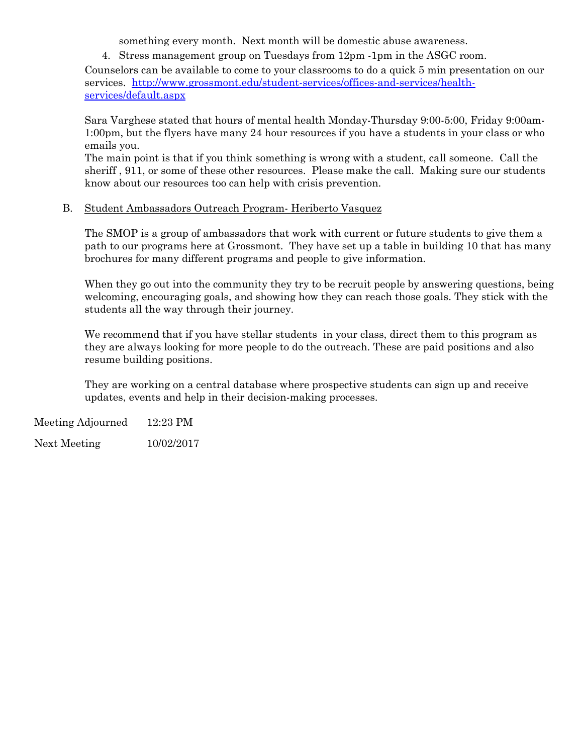something every month. Next month will be domestic abuse awareness.

4. Stress management group on Tuesdays from 12pm -1pm in the ASGC room.

Counselors can be available to come to your classrooms to do a quick 5 min presentation on our services. [http://www.grossmont.edu/student-services/offices-and-services/health](http://www.grossmont.edu/student-services/offices-and-services/health-services/default.aspx)[services/default.aspx](http://www.grossmont.edu/student-services/offices-and-services/health-services/default.aspx)

Sara Varghese stated that hours of mental health Monday-Thursday 9:00-5:00, Friday 9:00am-1:00pm, but the flyers have many 24 hour resources if you have a students in your class or who emails you.

The main point is that if you think something is wrong with a student, call someone. Call the sheriff , 911, or some of these other resources. Please make the call. Making sure our students know about our resources too can help with crisis prevention.

#### B. Student Ambassadors Outreach Program- Heriberto Vasquez

The SMOP is a group of ambassadors that work with current or future students to give them a path to our programs here at Grossmont. They have set up a table in building 10 that has many brochures for many different programs and people to give information.

When they go out into the community they try to be recruit people by answering questions, being welcoming, encouraging goals, and showing how they can reach those goals. They stick with the students all the way through their journey.

We recommend that if you have stellar students in your class, direct them to this program as they are always looking for more people to do the outreach. These are paid positions and also resume building positions.

They are working on a central database where prospective students can sign up and receive updates, events and help in their decision-making processes.

Meeting Adjourned 12:23 PM

Next Meeting 10/02/2017